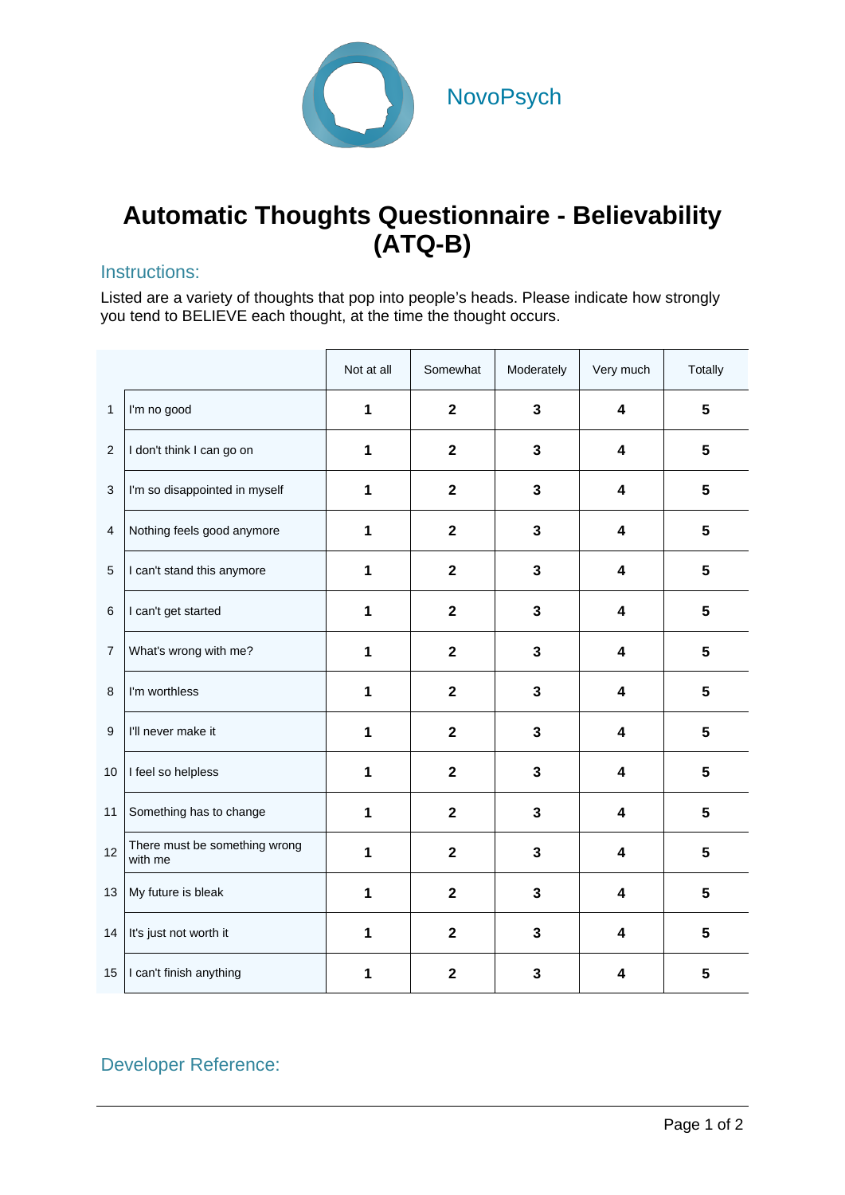

## **Automatic Thoughts Questionnaire - Believability (ATQ-B)**

## Instructions:

Listed are a variety of thoughts that pop into people's heads. Please indicate how strongly you tend to BELIEVE each thought, at the time the thought occurs.

|                |                                          | Not at all | Somewhat                | Moderately              | Very much               | Totally         |
|----------------|------------------------------------------|------------|-------------------------|-------------------------|-------------------------|-----------------|
| $\mathbf{1}$   | I'm no good                              | 1          | $\overline{2}$          | $\mathbf{3}$            | $\boldsymbol{4}$        | 5               |
| $\overline{2}$ | I don't think I can go on                | 1          | $\overline{\mathbf{2}}$ | $\overline{\mathbf{3}}$ | 4                       | 5               |
| 3              | I'm so disappointed in myself            | 1          | $\overline{2}$          | $\mathbf{3}$            | $\overline{\mathbf{4}}$ | 5               |
| 4              | Nothing feels good anymore               | 1          | $\overline{2}$          | 3                       | $\boldsymbol{4}$        | 5               |
| 5              | I can't stand this anymore               | 1          | $\mathbf{2}$            | $\mathbf 3$             | 4                       | $5\phantom{1}$  |
| 6              | I can't get started                      | 1          | $\mathbf{2}$            | $\mathbf{3}$            | $\overline{\mathbf{4}}$ | 5               |
| $\overline{7}$ | What's wrong with me?                    | 1          | $\overline{2}$          | $\overline{\mathbf{3}}$ | 4                       | 5               |
| 8              | I'm worthless                            | 1          | $\mathbf{2}$            | $\mathbf{3}$            | 4                       | $5\phantom{.0}$ |
| 9              | I'll never make it                       | 1          | $\overline{2}$          | $\mathbf{3}$            | $\overline{\mathbf{4}}$ | 5               |
| 10             | I feel so helpless                       | 1          | $\mathbf{2}$            | 3                       | 4                       | 5               |
| 11             | Something has to change                  | 1          | $\mathbf{2}$            | $\mathbf{3}$            | 4                       | 5               |
| 12             | There must be something wrong<br>with me | 1          | $\mathbf{2}$            | 3                       | 4                       | 5               |
| 13             | My future is bleak                       | 1          | $\overline{2}$          | 3                       | $\boldsymbol{4}$        | 5               |
| 14             | It's just not worth it                   | 1          | $\mathbf{2}$            | $\mathbf{3}$            | 4                       | 5               |
| 15             | I can't finish anything                  | 1          | $\mathbf{2}$            | 3                       | 4                       | 5               |

## Developer Reference: